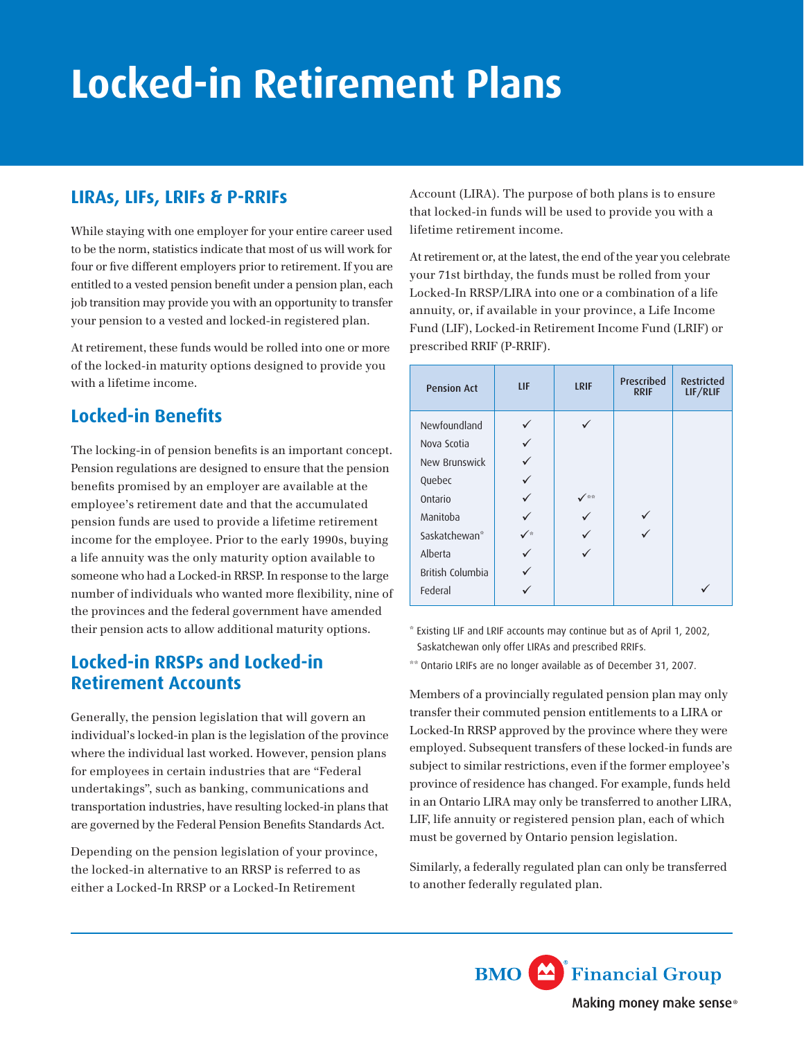# **Locked-in Retirement Plans**

#### **LIRAs, LIFs, LRIFs & P-RRIFs**

While staying with one employer for your entire career used to be the norm, statistics indicate that most of us will work for four or five different employers prior to retirement. If you are entitled to a vested pension benefit under a pension plan, each job transition may provide you with an opportunity to transfer your pension to a vested and locked-in registered plan.

At retirement, these funds would be rolled into one or more of the locked-in maturity options designed to provide you with a lifetime income.

#### **Locked-in Benefits**

The locking-in of pension benefits is an important concept. Pension regulations are designed to ensure that the pension benefits promised by an employer are available at the employee's retirement date and that the accumulated pension funds are used to provide a lifetime retirement income for the employee. Prior to the early 1990s, buying a life annuity was the only maturity option available to someone who had a Locked-in RRSP. In response to the large number of individuals who wanted more flexibility, nine of the provinces and the federal government have amended their pension acts to allow additional maturity options.

#### **Locked-in RRSPs and Locked-in Retirement Accounts**

Generally, the pension legislation that will govern an individual's locked-in plan is the legislation of the province where the individual last worked. However, pension plans for employees in certain industries that are "Federal undertakings", such as banking, communications and transportation industries, have resulting locked-in plans that are governed by the Federal Pension Benefits Standards Act.

Depending on the pension legislation of your province, the locked-in alternative to an RRSP is referred to as either a Locked-In RRSP or a Locked-In Retirement

Account (LIRA). The purpose of both plans is to ensure that locked-in funds will be used to provide you with a lifetime retirement income.

At retirement or, at the latest, the end of the year you celebrate your 71st birthday, the funds must be rolled from your Locked-In RRSP/LIRA into one or a combination of a life annuity, or, if available in your province, a Life Income Fund (LIF), Locked-in Retirement Income Fund (LRIF) or prescribed RRIF (P-RRIF).

| <b>Pension Act</b> | LIF | <b>LRIF</b> | Prescribed<br><b>RRIF</b> | <b>Restricted</b><br>LIF/RLIF |
|--------------------|-----|-------------|---------------------------|-------------------------------|
| Newfoundland       |     |             |                           |                               |
| Nova Scotia        |     |             |                           |                               |
| New Brunswick      |     |             |                           |                               |
| Quebec             |     |             |                           |                               |
| Ontario            |     | ∕ ⊕⊕        |                           |                               |
| Manitoba           |     |             |                           |                               |
| Saskatchewan*      | ∕∗  |             |                           |                               |
| Alberta            |     |             |                           |                               |
| British Columbia   |     |             |                           |                               |
| Federal            |     |             |                           |                               |

\* Existing LIF and LRIF accounts may continue but as of April 1, 2002, Saskatchewan only offer LIRAs and prescribed RRIFs.

\*\* Ontario LRIFs are no longer available as of December 31, 2007.

Members of a provincially regulated pension plan may only transfer their commuted pension entitlements to a LIRA or Locked-In RRSP approved by the province where they were employed. Subsequent transfers of these locked-in funds are subject to similar restrictions, even if the former employee's province of residence has changed. For example, funds held in an Ontario LIRA may only be transferred to another LIRA, LIF, life annuity or registered pension plan, each of which must be governed by Ontario pension legislation.

Similarly, a federally regulated plan can only be transferred to another federally regulated plan.

> **BMO** Financial Group Making money make sense<sup>®</sup>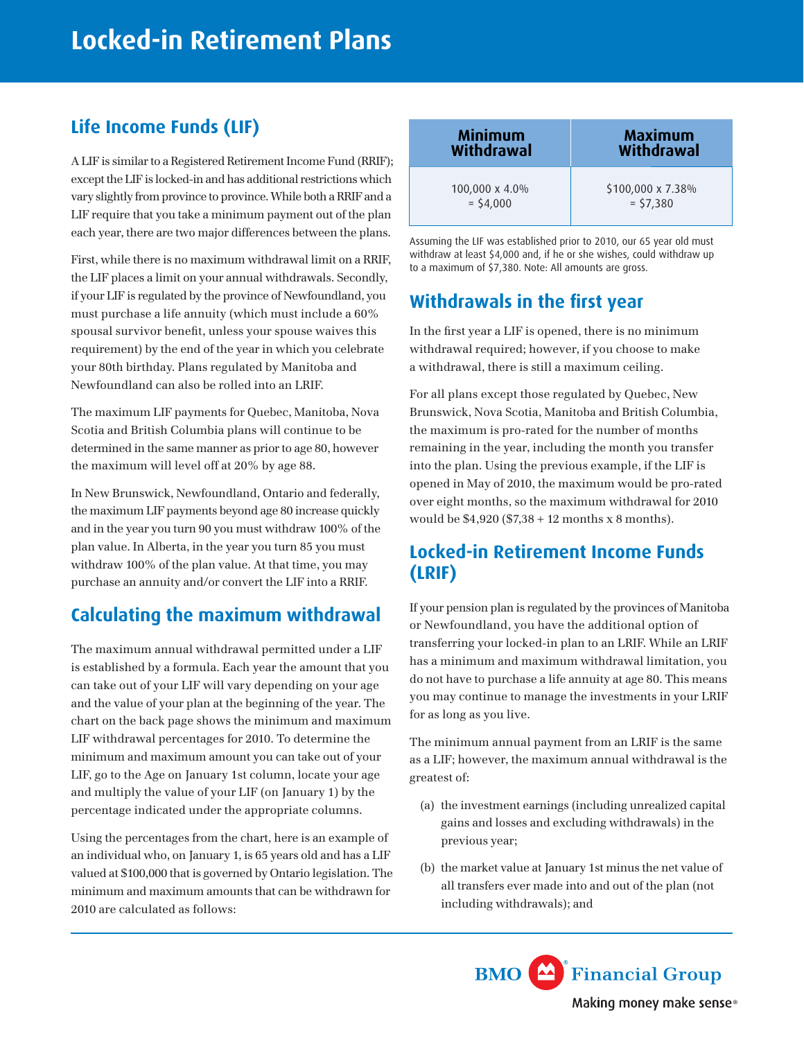# **Life Income Funds (LIF)**

A LIF is similar to a Registered Retirement Income Fund (RRIF); except the LIF is locked-in and has additional restrictions which vary slightly from province to province. While both a RRIF and a LIF require that you take a minimum payment out of the plan each year, there are two major differences between the plans.

First, while there is no maximum withdrawal limit on a RRIF, the LIF places a limit on your annual withdrawals. Secondly, if your LIF is regulated by the province of Newfoundland, you must purchase a life annuity (which must include a 60% spousal survivor benefit, unless your spouse waives this requirement) by the end of the year in which you celebrate your 80th birthday. Plans regulated by Manitoba and Newfoundland can also be rolled into an LRIF.

The maximum LIF payments for Quebec, Manitoba, Nova Scotia and British Columbia plans will continue to be determined in the same manner as prior to age 80, however the maximum will level off at 20% by age 88.

In New Brunswick, Newfoundland, Ontario and federally, the maximum LIF payments beyond age 80 increase quickly and in the year you turn 90 you must withdraw 100% of the plan value. In Alberta, in the year you turn 85 you must withdraw 100% of the plan value. At that time, you may purchase an annuity and/or convert the LIF into a RRIF.

### **Calculating the maximum withdrawal**

The maximum annual withdrawal permitted under a LIF is established by a formula. Each year the amount that you can take out of your LIF will vary depending on your age and the value of your plan at the beginning of the year. The chart on the back page shows the minimum and maximum LIF withdrawal percentages for 2010. To determine the minimum and maximum amount you can take out of your LIF, go to the Age on January 1st column, locate your age and multiply the value of your LIF (on January 1) by the percentage indicated under the appropriate columns.

Using the percentages from the chart, here is an example of an individual who, on January 1, is 65 years old and has a LIF valued at \$100,000 that is governed by Ontario legislation. The minimum and maximum amounts that can be withdrawn for 2010 are calculated as follows:

| <b>Minimum</b> | <b>Maximum</b>    |
|----------------|-------------------|
| Withdrawal     | Withdrawal        |
| 100,000 x 4.0% | \$100,000 x 7.38% |
| $=$ \$4,000    | $=$ \$7,380       |

Assuming the LIF was established prior to 2010, our 65 year old must withdraw at least \$4,000 and, if he or she wishes, could withdraw up to a maximum of \$7,380. Note: All amounts are gross.

# **Withdrawals in the first year**

In the first year a LIF is opened, there is no minimum withdrawal required; however, if you choose to make a withdrawal, there is still a maximum ceiling.

For all plans except those regulated by Quebec, New Brunswick, Nova Scotia, Manitoba and British Columbia, the maximum is pro-rated for the number of months remaining in the year, including the month you transfer into the plan. Using the previous example, if the LIF is opened in May of 2010, the maximum would be pro-rated over eight months, so the maximum withdrawal for 2010 would be  $$4,920$  ( $$7,38 + 12$  months x 8 months).

#### **Locked-in Retirement Income Funds (LRIF)**

If your pension plan is regulated by the provinces of Manitoba or Newfoundland, you have the additional option of transferring your locked-in plan to an LRIF. While an LRIF has a minimum and maximum withdrawal limitation, you do not have to purchase a life annuity at age 80. This means you may continue to manage the investments in your LRIF for as long as you live.

The minimum annual payment from an LRIF is the same as a LIF; however, the maximum annual withdrawal is the greatest of:

- (a) the investment earnings (including unrealized capital gains and losses and excluding withdrawals) in the previous year;
- (b) the market value at January 1st minus the net value of all transfers ever made into and out of the plan (not including withdrawals); and

**BMO** Financial Group Making money make sense<sup>®</sup>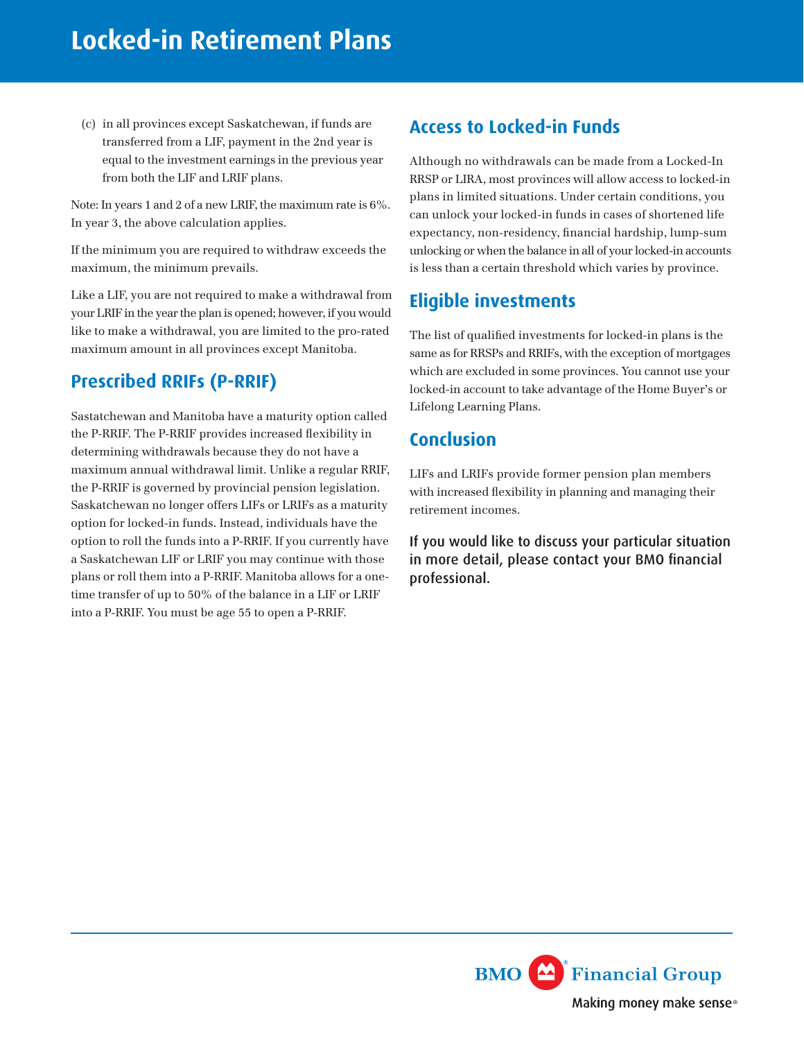(c) in all provinces except Saskatchewan, if funds are transferred from a LIF, payment in the 2nd year is equal to the investment earnings in the previous year from both the LIF and LRIF plans.

Note: In years 1 and 2 of a new LRIF, the maximum rate is 6%. In year 3, the above calculation applies.

If the minimum you are required to withdraw exceeds the maximum, the minimum prevails.

Like a LIF, you are not required to make a withdrawal from your LRIF in the year the plan is opened; however, if you would like to make a withdrawal, you are limited to the pro-rated maximum amount in all provinces except Manitoba.

### **Prescribed RRIFs (P-RRIF)**

Sastatchewan and Manitoba have a maturity option called the P-RRIF. The P-RRIF provides increased flexibility in determining withdrawals because they do not have a maximum annual withdrawal limit. Unlike a regular RRIF, the P-RRIF is governed by provincial pension legislation. Saskatchewan no longer offers LIFs or LRIFs as a maturity option for locked-in funds. Instead, individuals have the option to roll the funds into a P-RRIF. If you currently have a Saskatchewan LIF or LRIF you may continue with those plans or roll them into a P-RRIF. Manitoba allows for a onetime transfer of up to 50% of the balance in a LIF or LRIF into a P-RRIF. You must be age 55 to open a P-RRIF.

#### **Access to Locked-in Funds**

Although no withdrawals can be made from a Locked-In RRSP or LIRA, most provinces will allow access to locked-in plans in limited situations. Under certain conditions, you can unlock your locked-in funds in cases of shortened life expectancy, non-residency, financial hardship, lump-sum unlocking or when the balance in all of your locked-in accounts is less than a certain threshold which varies by province.

#### **Eligible investments**

The list of qualified investments for locked-in plans is the same as for RRSPs and RRIFs, with the exception of mortgages which are excluded in some provinces. You cannot use your locked-in account to take advantage of the Home Buyer's or Lifelong Learning Plans.

#### **Conclusion**

LIFs and LRIFs provide former pension plan members with increased flexibility in planning and managing their retirement incomes.

If you would like to discuss your particular situation in more detail, please contact your BMO financial professional.

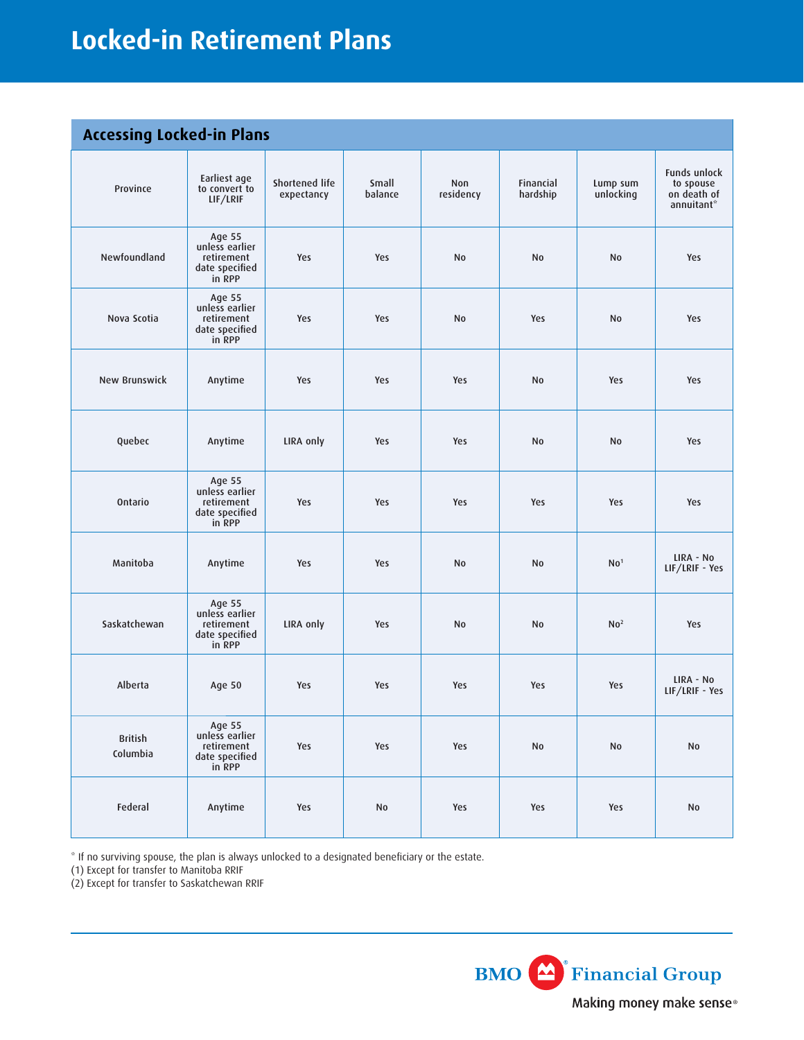# **Locked-in Retirement Plans**

#### **Accessing Locked-in Plans**

| <b>ALLESSING LUCKED III PICILS</b> |                                                                    |                              |                  |                  |                       |                       |                                                        |
|------------------------------------|--------------------------------------------------------------------|------------------------------|------------------|------------------|-----------------------|-----------------------|--------------------------------------------------------|
| Province                           | Earliest age<br>to convert to<br>LIF/LRIF                          | Shortened life<br>expectancy | Small<br>balance | Non<br>residency | Financial<br>hardship | Lump sum<br>unlocking | Funds unlock<br>to spouse<br>on death of<br>annuitant* |
| Newfoundland                       | Age 55<br>unless earlier<br>retirement<br>date specified<br>in RPP | Yes                          | Yes              | <b>No</b>        | No                    | No                    | Yes                                                    |
| Nova Scotia                        | Age 55<br>unless earlier<br>retirement<br>date specified<br>in RPP | Yes                          | Yes              | <b>No</b>        | Yes                   | No                    | Yes                                                    |
| New Brunswick                      | Anytime                                                            | Yes                          | Yes              | Yes              | <b>No</b>             | Yes                   | Yes                                                    |
| Quebec                             | Anytime                                                            | LIRA only                    | Yes              | Yes              | <b>No</b>             | No                    | Yes                                                    |
| Ontario                            | Age 55<br>unless earlier<br>retirement<br>date specified<br>in RPP | Yes                          | Yes              | Yes              | Yes                   | Yes                   | Yes                                                    |
| Manitoba                           | Anytime                                                            | Yes                          | Yes              | <b>No</b>        | No                    | No <sup>1</sup>       | LIRA - No<br>LIF/LRIF - Yes                            |
| Saskatchewan                       | Age 55<br>unless earlier<br>retirement<br>date specified<br>in RPP | LIRA only                    | Yes              | <b>No</b>        | No                    | No <sup>2</sup>       | Yes                                                    |
| Alberta                            | Age 50                                                             | Yes                          | Yes              | Yes              | Yes                   | Yes                   | LIRA - No<br>LIF/LRIF - Yes                            |
| <b>British</b><br>Columbia         | Age 55<br>unless earlier<br>retirement<br>date specified<br>in RPP | Yes                          | Yes              | Yes              | <b>No</b>             | No                    | No                                                     |
| Federal                            | Anytime                                                            | Yes                          | $\mathsf{No}$    | Yes              | Yes                   | Yes                   | No                                                     |

\* If no surviving spouse, the plan is always unlocked to a designated beneficiary or the estate.

(1) Except for transfer to Manitoba RRIF

(2) Except for transfer to Saskatchewan RRIF

**BMO** Financial Group Making money make sense®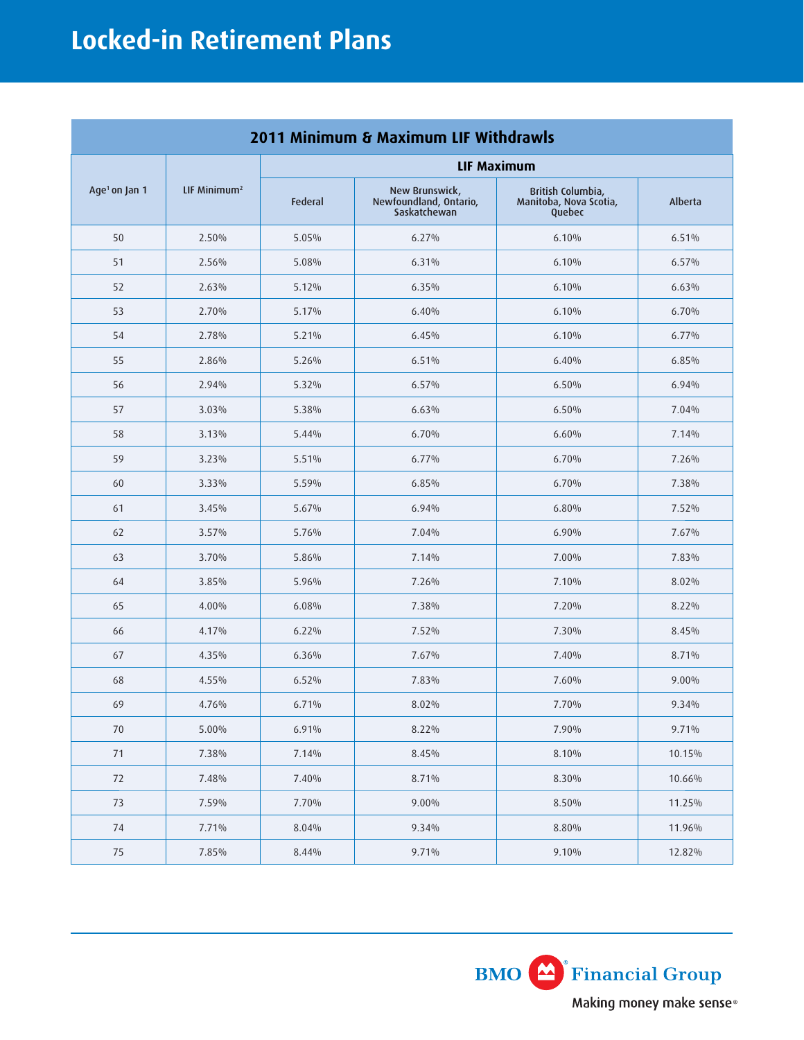| 2011 Minimum & Maximum LIF Withdrawls |                          |                    |                                                          |                                                       |          |  |
|---------------------------------------|--------------------------|--------------------|----------------------------------------------------------|-------------------------------------------------------|----------|--|
|                                       |                          | <b>LIF Maximum</b> |                                                          |                                                       |          |  |
| Age <sup>1</sup> on Jan 1             | LIF Minimum <sup>2</sup> | <b>Federal</b>     | New Brunswick,<br>Newfoundland, Ontario,<br>Saskatchewan | British Columbia,<br>Manitoba, Nova Scotia,<br>Quebec | Alberta  |  |
| 50                                    | 2.50%                    | 5.05%              | 6.27%                                                    | 6.10%                                                 | 6.51%    |  |
| 51                                    | 2.56%                    | 5.08%              | 6.31%                                                    | 6.10%                                                 | 6.57%    |  |
| 52                                    | 2.63%                    | 5.12%              | 6.35%                                                    | 6.10%                                                 | 6.63%    |  |
| 53                                    | 2.70%                    | 5.17%              | 6.40%                                                    | 6.10%                                                 | 6.70%    |  |
| 54                                    | 2.78%                    | 5.21%              | 6.45%                                                    | 6.10%                                                 | 6.77%    |  |
| 55                                    | 2.86%                    | 5.26%              | 6.51%                                                    | 6.40%                                                 | 6.85%    |  |
| 56                                    | 2.94%                    | 5.32%              | 6.57%                                                    | 6.50%                                                 | 6.94%    |  |
| 57                                    | 3.03%                    | 5.38%              | 6.63%                                                    | 6.50%                                                 | 7.04%    |  |
| 58                                    | 3.13%                    | 5.44%              | 6.70%                                                    | 6.60%                                                 | 7.14%    |  |
| 59                                    | 3.23%                    | 5.51%              | $6.77\%$                                                 | 6.70%                                                 | 7.26%    |  |
| 60                                    | 3.33%                    | 5.59%              | 6.85%                                                    | 6.70%                                                 | 7.38%    |  |
| 61                                    | 3.45%                    | 5.67%              | 6.94%                                                    | 6.80%                                                 | 7.52%    |  |
| 62                                    | 3.57%                    | 5.76%              | 7.04%                                                    | 6.90%                                                 | 7.67%    |  |
| 63                                    | 3.70%                    | 5.86%              | 7.14%                                                    | 7.00%                                                 | 7.83%    |  |
| 64                                    | 3.85%                    | 5.96%              | 7.26%                                                    | 7.10%                                                 | 8.02%    |  |
| 65                                    | 4.00%                    | 6.08%              | 7.38%                                                    | 7.20%                                                 | 8.22%    |  |
| 66                                    | 4.17%                    | 6.22%              | 7.52%                                                    | 7.30%                                                 | 8.45%    |  |
| 67                                    | 4.35%                    | 6.36%              | 7.67%                                                    | 7.40%                                                 | 8.71%    |  |
| 68                                    | 4.55%                    | 6.52%              | 7.83%                                                    | 7.60%                                                 | $9.00\%$ |  |
| 69                                    | 4.76%                    | 6.71%              | 8.02%                                                    | 7.70%                                                 | 9.34%    |  |
| 70                                    | 5.00%                    | 6.91%              | $8.22\%$                                                 | 7.90%                                                 | 9.71%    |  |
| $71\,$                                | 7.38%                    | 7.14%              | 8.45%                                                    | 8.10%                                                 | 10.15%   |  |
| 72                                    | 7.48%                    | 7.40%              | 8.71%                                                    | 8.30%                                                 | 10.66%   |  |
| $73\,$                                | 7.59%                    | 7.70%              | $9.00\%$                                                 | 8.50%                                                 | 11.25%   |  |
| 74                                    | 7.71%                    | 8.04%              | 9.34%                                                    | 8.80%                                                 | 11.96%   |  |
| $75\,$                                | 7.85%                    | 8.44%              | 9.71%                                                    | 9.10%                                                 | 12.82%   |  |